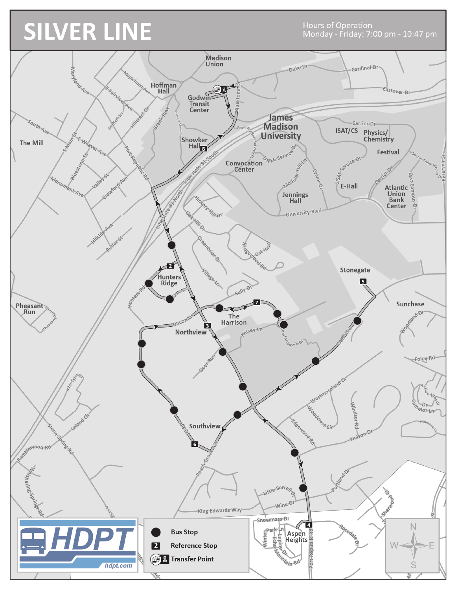## **SILVER LINE**

**Hours of Operation** Monday - Friday: 7:00 pm - 10:47 pm